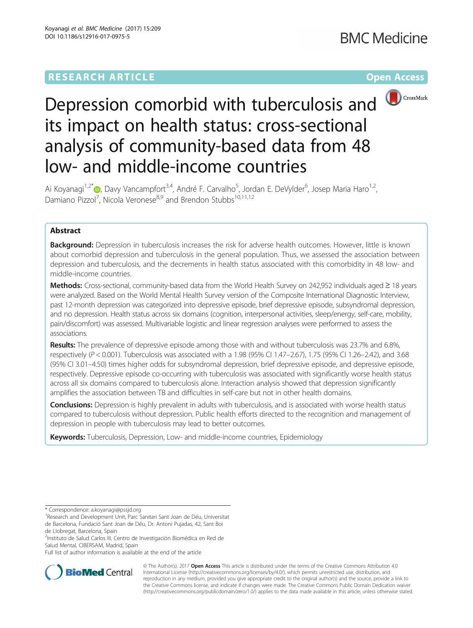

# Depression comorbid with tuberculosis and its impact on health status: cross-sectional analysis of community-based data from 48 low- and middle-income countries

Ai Koyanagi<sup>1[,](http://orcid.org/0000-0002-9565-5004)2\*</sup> (@, Davy Vancampfort<sup>3,4</sup>, André F. Carvalho<sup>5</sup>, Jordan E. DeVylder<sup>6</sup>, Josep Maria Haro<sup>1,2</sup>, Damiano Pizzol<sup>7</sup>, Nicola Veronese<sup>8,9</sup> and Brendon Stubbs<sup>10,11,12</sup>

# Abstract

**Background:** Depression in tuberculosis increases the risk for adverse health outcomes. However, little is known about comorbid depression and tuberculosis in the general population. Thus, we assessed the association between depression and tuberculosis, and the decrements in health status associated with this comorbidity in 48 low- and middle-income countries.

Methods: Cross-sectional, community-based data from the World Health Survey on 242,952 individuals aged ≥ 18 years were analyzed. Based on the World Mental Health Survey version of the Composite International Diagnostic Interview, past 12-month depression was categorized into depressive episode, brief depressive episode, subsyndromal depression, and no depression. Health status across six domains (cognition, interpersonal activities, sleep/energy, self-care, mobility, pain/discomfort) was assessed. Multivariable logistic and linear regression analyses were performed to assess the associations.

Results: The prevalence of depressive episode among those with and without tuberculosis was 23.7% and 6.8%, respectively (P < 0.001). Tuberculosis was associated with a 1.98 (95% CI 1.47–2.67), 1.75 (95% CI 1.26–2.42), and 3.68 (95% CI 3.01–4.50) times higher odds for subsyndromal depression, brief depressive episode, and depressive episode, respectively. Depressive episode co-occurring with tuberculosis was associated with significantly worse health status across all six domains compared to tuberculosis alone. Interaction analysis showed that depression significantly amplifies the association between TB and difficulties in self-care but not in other health domains.

**Conclusions:** Depression is highly prevalent in adults with tuberculosis, and is associated with worse health status compared to tuberculosis without depression. Public health efforts directed to the recognition and management of depression in people with tuberculosis may lead to better outcomes.

Keywords: Tuberculosis, Depression, Low- and middle-income countries, Epidemiology

\* Correspondence: [a.koyanagi@pssjd.org](mailto:a.koyanagi@pssjd.org) <sup>1</sup>

<sup>1</sup> Research and Development Unit, Parc Sanitari Sant Joan de Déu, Universitat de Barcelona, Fundació Sant Joan de Déu, Dr. Antoni Pujadas, 42, Sant Boi

de Llobregat, Barcelona, Spain

2 Instituto de Salud Carlos III, Centro de Investigación Biomédica en Red de Salud Mental, CIBERSAM, Madrid, Spain

Full list of author information is available at the end of the article



© The Author(s). 2017 **Open Access** This article is distributed under the terms of the Creative Commons Attribution 4.0 International License [\(http://creativecommons.org/licenses/by/4.0/](http://creativecommons.org/licenses/by/4.0/)), which permits unrestricted use, distribution, and reproduction in any medium, provided you give appropriate credit to the original author(s) and the source, provide a link to the Creative Commons license, and indicate if changes were made. The Creative Commons Public Domain Dedication waiver [\(http://creativecommons.org/publicdomain/zero/1.0/](http://creativecommons.org/publicdomain/zero/1.0/)) applies to the data made available in this article, unless otherwise stated.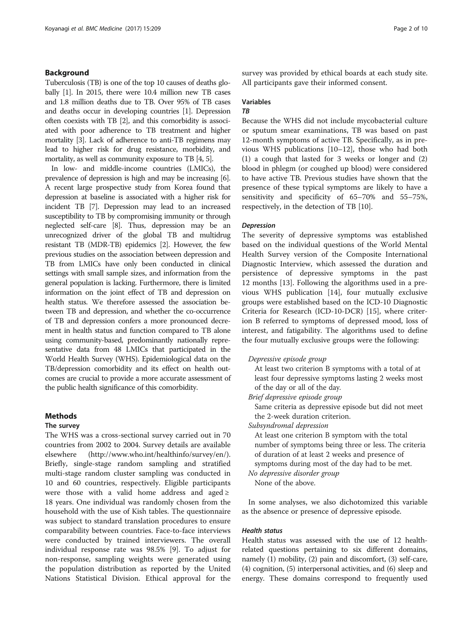# Background

Tuberculosis (TB) is one of the top 10 causes of deaths globally [\[1\]](#page-8-0). In 2015, there were 10.4 million new TB cases and 1.8 million deaths due to TB. Over 95% of TB cases and deaths occur in developing countries [\[1\]](#page-8-0). Depression often coexists with TB [[2](#page-8-0)], and this comorbidity is associated with poor adherence to TB treatment and higher mortality [\[3\]](#page-8-0). Lack of adherence to anti-TB regimens may lead to higher risk for drug resistance, morbidity, and mortality, as well as community exposure to TB [\[4, 5\]](#page-8-0).

In low- and middle-income countries (LMICs), the prevalence of depression is high and may be increasing [[6](#page-8-0)]. A recent large prospective study from Korea found that depression at baseline is associated with a higher risk for incident TB [\[7\]](#page-8-0). Depression may lead to an increased susceptibility to TB by compromising immunity or through neglected self-care [\[8\]](#page-8-0). Thus, depression may be an unrecognized driver of the global TB and multidrug resistant TB (MDR-TB) epidemics [\[2](#page-8-0)]. However, the few previous studies on the association between depression and TB from LMICs have only been conducted in clinical settings with small sample sizes, and information from the general population is lacking. Furthermore, there is limited information on the joint effect of TB and depression on health status. We therefore assessed the association between TB and depression, and whether the co-occurrence of TB and depression confers a more pronounced decrement in health status and function compared to TB alone using community-based, predominantly nationally representative data from 48 LMICs that participated in the World Health Survey (WHS). Epidemiological data on the TB/depression comorbidity and its effect on health outcomes are crucial to provide a more accurate assessment of the public health significance of this comorbidity.

# Methods

# The survey

The WHS was a cross-sectional survey carried out in 70 countries from 2002 to 2004. Survey details are available elsewhere [\(http://www.who.int/healthinfo/survey/en/](http://www.who.int/healthinfo/survey/en/)). Briefly, single-stage random sampling and stratified multi-stage random cluster sampling was conducted in 10 and 60 countries, respectively. Eligible participants were those with a valid home address and aged  $≥$ 18 years. One individual was randomly chosen from the household with the use of Kish tables. The questionnaire was subject to standard translation procedures to ensure comparability between countries. Face-to-face interviews were conducted by trained interviewers. The overall individual response rate was 98.5% [[9\]](#page-8-0). To adjust for non-response, sampling weights were generated using the population distribution as reported by the United Nations Statistical Division. Ethical approval for the survey was provided by ethical boards at each study site. All participants gave their informed consent.

# Variables

# **TR**

Because the WHS did not include mycobacterial culture or sputum smear examinations, TB was based on past 12-month symptoms of active TB. Specifically, as in previous WHS publications [[10](#page-8-0)–[12](#page-8-0)], those who had both (1) a cough that lasted for 3 weeks or longer and (2) blood in phlegm (or coughed up blood) were considered to have active TB. Previous studies have shown that the presence of these typical symptoms are likely to have a sensitivity and specificity of 65–70% and 55–75%, respectively, in the detection of TB [\[10](#page-8-0)].

## Depression

The severity of depressive symptoms was established based on the individual questions of the World Mental Health Survey version of the Composite International Diagnostic Interview, which assessed the duration and persistence of depressive symptoms in the past 12 months [\[13](#page-8-0)]. Following the algorithms used in a previous WHS publication [[14\]](#page-8-0), four mutually exclusive groups were established based on the ICD-10 Diagnostic Criteria for Research (ICD-10-DCR) [[15\]](#page-8-0), where criterion B referred to symptoms of depressed mood, loss of interest, and fatigability. The algorithms used to define the four mutually exclusive groups were the following:

Depressive episode group

At least two criterion B symptoms with a total of at least four depressive symptoms lasting 2 weeks most of the day or all of the day.

Brief depressive episode group

Same criteria as depressive episode but did not meet the 2-week duration criterion.

Subsyndromal depression

At least one criterion B symptom with the total number of symptoms being three or less. The criteria of duration of at least 2 weeks and presence of symptoms during most of the day had to be met.

No depressive disorder group

None of the above.

In some analyses, we also dichotomized this variable as the absence or presence of depressive episode.

# Health status

Health status was assessed with the use of 12 healthrelated questions pertaining to six different domains, namely (1) mobility, (2) pain and discomfort, (3) self-care, (4) cognition, (5) interpersonal activities, and (6) sleep and energy. These domains correspond to frequently used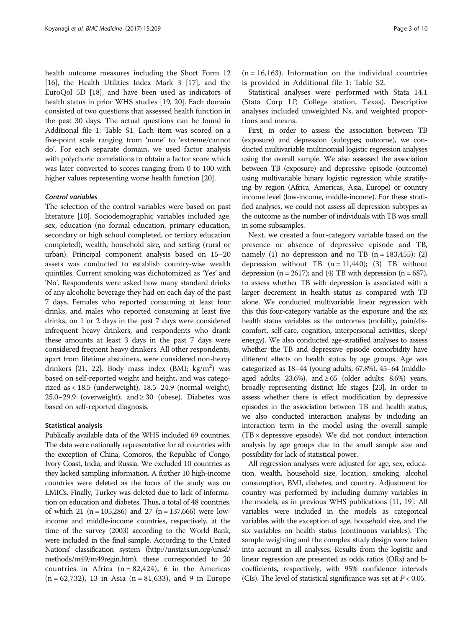health outcome measures including the Short Form 12 [[16](#page-8-0)], the Health Utilities Index Mark 3 [\[17\]](#page-8-0), and the EuroQol 5D [[18](#page-8-0)], and have been used as indicators of health status in prior WHS studies [\[19](#page-8-0), [20](#page-8-0)]. Each domain consisted of two questions that assessed health function in the past 30 days. The actual questions can be found in Additional file [1](#page-7-0): Table S1. Each item was scored on a five-point scale ranging from 'none' to 'extreme/cannot do'. For each separate domain, we used factor analysis with polychoric correlations to obtain a factor score which was later converted to scores ranging from 0 to 100 with higher values representing worse health function [\[20\]](#page-8-0).

#### Control variables

The selection of the control variables were based on past literature [\[10](#page-8-0)]. Sociodemographic variables included age, sex, education (no formal education, primary education, secondary or high school completed, or tertiary education completed), wealth, household size, and setting (rural or urban). Principal component analysis based on 15–20 assets was conducted to establish country-wise wealth quintiles. Current smoking was dichotomized as 'Yes' and 'No'. Respondents were asked how many standard drinks of any alcoholic beverage they had on each day of the past 7 days. Females who reported consuming at least four drinks, and males who reported consuming at least five drinks, on 1 or 2 days in the past 7 days were considered infrequent heavy drinkers, and respondents who drank these amounts at least 3 days in the past 7 days were considered frequent heavy drinkers. All other respondents, apart from lifetime abstainers, were considered non-heavy drinkers [\[21, 22\]](#page-8-0). Body mass index (BMI;  $\text{kg/m}^2$ ) was based on self-reported weight and height, and was categorized as < 18.5 (underweight), 18.5–24.9 (normal weight), 25.0–29.9 (overweight), and  $\geq$  30 (obese). Diabetes was based on self-reported diagnosis.

#### Statistical analysis

Publically available data of the WHS included 69 countries. The data were nationally representative for all countries with the exception of China, Comoros, the Republic of Congo, Ivory Coast, India, and Russia. We excluded 10 countries as they lacked sampling information. A further 10 high-income countries were deleted as the focus of the study was on LMICs. Finally, Turkey was deleted due to lack of information on education and diabetes. Thus, a total of 48 countries, of which 21 (n = 105,286) and 27 (n = 137,666) were lowincome and middle-income countries, respectively, at the time of the survey (2003) according to the World Bank, were included in the final sample. According to the United Nations' classification system [\(http://unstats.un.org/unsd/](http://unstats.un.org/unsd/methods/m49/m49regin.htm) [methods/m49/m49regin.htm\)](http://unstats.un.org/unsd/methods/m49/m49regin.htm), these corresponded to 20 countries in Africa  $(n = 82,424)$ , 6 in the Americas  $(n = 62, 732)$ , 13 in Asia  $(n = 81, 633)$ , and 9 in Europe

Statistical analyses were performed with Stata 14.1 (Stata Corp LP, College station, Texas). Descriptive analyses included unweighted Ns, and weighted proportions and means.

First, in order to assess the association between TB (exposure) and depression (subtypes; outcome), we conducted multivariable multinomial logistic regression analyses using the overall sample. We also assessed the association between TB (exposure) and depressive episode (outcome) using multivariable binary logistic regression while stratifying by region (Africa, Americas, Asia, Europe) or country income level (low-income, middle-income). For these stratified analyses, we could not assess all depression subtypes as the outcome as the number of individuals with TB was small in some subsamples.

Next, we created a four-category variable based on the presence or absence of depressive episode and TB, namely (1) no depression and no TB  $(n = 183,455)$ ; (2) depression without TB  $(n = 11,440)$ ; (3) TB without depression ( $n = 2617$ ); and (4) TB with depression ( $n = 687$ ), to assess whether TB with depression is associated with a larger decrement in health status as compared with TB alone. We conducted multivariable linear regression with this this four-category variable as the exposure and the six health status variables as the outcomes (mobility, pain/discomfort, self-care, cognition, interpersonal activities, sleep/ energy). We also conducted age-stratified analyses to assess whether the TB and depressive episode comorbidity have different effects on health status by age groups. Age was categorized as 18–44 (young adults; 67.8%), 45–64 (middleaged adults; 23.6%), and  $\geq 65$  (older adults; 8.6%) years, broadly representing distinct life stages [\[23](#page-8-0)]. In order to assess whether there is effect modification by depressive episodes in the association between TB and health status, we also conducted interaction analysis by including an interaction term in the model using the overall sample (TB × depressive episode). We did not conduct interaction analysis by age groups due to the small sample size and possibility for lack of statistical power.

All regression analyses were adjusted for age, sex, education, wealth, household size, location, smoking, alcohol consumption, BMI, diabetes, and country. Adjustment for country was performed by including dummy variables in the models, as in previous WHS publications [\[11](#page-8-0), [19](#page-8-0)]. All variables were included in the models as categorical variables with the exception of age, household size, and the six variables on health status (continuous variables). The sample weighting and the complex study design were taken into account in all analyses. Results from the logistic and linear regression are presented as odds ratios (ORs) and bcoefficients, respectively, with 95% confidence intervals (CIs). The level of statistical significance was set at  $P < 0.05$ .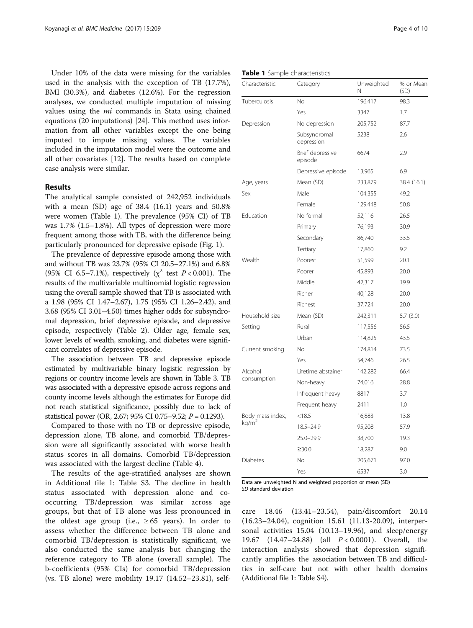Under 10% of the data were missing for the variables used in the analysis with the exception of TB (17.7%), BMI (30.3%), and diabetes (12.6%). For the regression analyses, we conducted multiple imputation of missing values using the mi commands in Stata using chained equations (20 imputations) [\[24](#page-8-0)]. This method uses information from all other variables except the one being imputed to impute missing values. The variables included in the imputation model were the outcome and all other covariates [[12\]](#page-8-0). The results based on complete case analysis were similar.

# Results

The analytical sample consisted of 242,952 individuals with a mean (SD) age of 38.4 (16.1) years and 50.8% were women (Table 1). The prevalence (95% CI) of TB was 1.7% (1.5–1.8%). All types of depression were more frequent among those with TB, with the difference being particularly pronounced for depressive episode (Fig. [1\)](#page-4-0).

The prevalence of depressive episode among those with and without TB was 23.7% (95% CI 20.5–27.1%) and 6.8% (95% CI 6.5–7.1%), respectively ( $\chi^2$  test  $P < 0.001$ ). The results of the multivariable multinomial logistic regression using the overall sample showed that TB is associated with a 1.98 (95% CI 1.47–2.67), 1.75 (95% CI 1.26–2.42), and 3.68 (95% CI 3.01–4.50) times higher odds for subsyndromal depression, brief depressive episode, and depressive episode, respectively (Table [2](#page-4-0)). Older age, female sex, lower levels of wealth, smoking, and diabetes were significant correlates of depressive episode.

The association between TB and depressive episode estimated by multivariable binary logistic regression by regions or country income levels are shown in Table [3](#page-5-0). TB was associated with a depressive episode across regions and county income levels although the estimates for Europe did not reach statistical significance, possibly due to lack of statistical power (OR, 2.67; 95% CI 0.75–9.52;  $P = 0.1293$ ).

Compared to those with no TB or depressive episode, depression alone, TB alone, and comorbid TB/depression were all significantly associated with worse health status scores in all domains. Comorbid TB/depression was associated with the largest decline (Table [4\)](#page-5-0).

The results of the age-stratified analyses are shown in Additional file [1](#page-7-0): Table S3. The decline in health status associated with depression alone and cooccurring TB/depression was similar across age groups, but that of TB alone was less pronounced in the oldest age group (i.e.,  $\geq 65$  years). In order to assess whether the difference between TB alone and comorbid TB/depression is statistically significant, we also conducted the same analysis but changing the reference category to TB alone (overall sample). The b-coefficients (95% CIs) for comorbid TB/depression (vs. TB alone) were mobility 19.17 (14.52–23.81), self-

#### Table 1 Sample characteristics

| Characteristic    | Category                    | Unweighted<br>Ν | % or Mean<br>(SD) |  |
|-------------------|-----------------------------|-----------------|-------------------|--|
| Tuberculosis      | No                          | 196,417         | 98.3              |  |
|                   | Yes                         | 3347            | 1.7               |  |
| Depression        | No depression               | 205,752         | 87.7              |  |
|                   | Subsyndromal<br>depression  | 5238            | 2.6               |  |
|                   | Brief depressive<br>episode | 6674            | 2.9               |  |
|                   | Depressive episode          | 13,965          | 6.9               |  |
| Age, years        | Mean (SD)                   | 233,879         | 38.4 (16.1)       |  |
| Sex               | Male                        | 104,355         | 49.2              |  |
|                   | Female                      | 129,448         | 50.8              |  |
| Education         | No formal                   | 52,116          | 26.5              |  |
|                   | Primary                     | 76,193          | 30.9              |  |
|                   | Secondary                   | 86,740          | 33.5              |  |
|                   | Tertiary                    | 17,860          | 9.2               |  |
| Wealth            | Poorest                     | 51,599          | 20.1              |  |
|                   | Poorer                      | 45,893          | 20.0              |  |
|                   | Middle                      | 42,317          | 19.9              |  |
|                   | Richer                      | 40,128          | 20.0              |  |
|                   | Richest                     | 37,724          | 20.0              |  |
| Household size    | Mean (SD)                   | 242,311         | 5.7(3.0)          |  |
| Setting           | Rural                       | 117,556         | 56.5              |  |
|                   | Urban                       | 114,825         | 43.5              |  |
| Current smoking   | No                          | 174,814         | 73.5              |  |
|                   | Yes                         | 54,746          | 26.5              |  |
| Alcohol           | Lifetime abstainer          | 142,282         | 66.4              |  |
| consumption       | Non-heavy                   | 74,016          | 28.8              |  |
|                   | Infrequent heavy            | 8817            | 3.7               |  |
|                   | Frequent heavy              | 2411            | 1.0               |  |
| Body mass index,  | < 18.5                      | 16,883          | 13.8              |  |
| kg/m <sup>2</sup> | 18.5-24.9                   | 95,208          | 57.9              |  |
|                   | $25.0 - 29.9$               | 38,700          | 19.3              |  |
|                   | ≥30.0                       | 18,287          | 9.0               |  |
| <b>Diabetes</b>   | No                          | 205,671         | 97.0              |  |
|                   | Yes                         | 6537            | 3.0               |  |

Data are unweighted N and weighted proportion or mean (SD) SD standard deviation

care 18.46 (13.41–23.54), pain/discomfort 20.14 (16.23–24.04), cognition 15.61 (11.13-20.09), interpersonal activities 15.04 (10.13–19.96), and sleep/energy 19.67 (14.47–24.88) (all P < 0.0001). Overall, the interaction analysis showed that depression significantly amplifies the association between TB and difficulties in self-care but not with other health domains (Additional file [1:](#page-7-0) Table S4).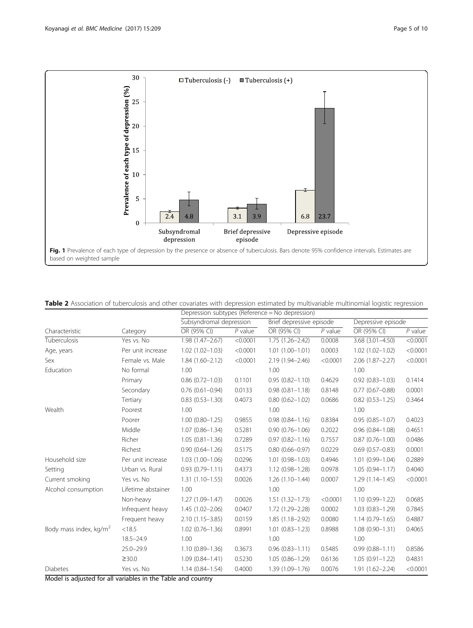<span id="page-4-0"></span>

Table 2 Association of tuberculosis and other covariates with depression estimated by multivariable multinomial logistic regression

|                                    |                    | Depression subtypes (Reference = No depression) |           |                          |           |                        |           |
|------------------------------------|--------------------|-------------------------------------------------|-----------|--------------------------|-----------|------------------------|-----------|
|                                    | Category           | Subsyndromal depression                         |           | Brief depressive episode |           | Depressive episode     |           |
| Characteristic                     |                    | OR (95% CI)                                     | $P$ value | OR (95% CI)              | $P$ value | OR (95% CI)            | $P$ value |
| Tuberculosis                       | Yes vs. No         | 1.98 (1.47-2.67)                                | < 0.0001  | $1.75(1.26 - 2.42)$      | 0.0008    | $3.68$ $(3.01 - 4.50)$ | < 0.0001  |
| Age, years                         | Per unit increase  | $1.02(1.02 - 1.03)$                             | < 0.0001  | $1.01(1.00 - 1.01)$      | 0.0003    | $1.02(1.02 - 1.02)$    | < 0.0001  |
| Sex                                | Female vs. Male    | $1.84(1.60 - 2.12)$                             | < 0.0001  | 2.19 (1.94-2.46)         | < 0.0001  | $2.06(1.87 - 2.27)$    | < 0.0001  |
| Education                          | No formal          | 1.00                                            |           | 1.00                     |           | 1.00                   |           |
|                                    | Primary            | $0.86$ $(0.72 - 1.03)$                          | 0.1101    | $0.95(0.82 - 1.10)$      | 0.4629    | $0.92(0.83 - 1.03)$    | 0.1414    |
|                                    | Secondary          | $0.76(0.61 - 0.94)$                             | 0.0133    | $0.98(0.81 - 1.18)$      | 0.8148    | $0.77(0.67 - 0.88)$    | 0.0001    |
|                                    | Tertiary           | $0.83(0.53 - 1.30)$                             | 0.4073    | $0.80(0.62 - 1.02)$      | 0.0686    | $0.82(0.53 - 1.25)$    | 0.3464    |
| Wealth                             | Poorest            | 1.00                                            |           | 1.00                     |           | 1.00                   |           |
|                                    | Poorer             | $1.00(0.80 - 1.25)$                             | 0.9855    | $0.98(0.84 - 1.16)$      | 0.8384    | $0.95(0.85 - 1.07)$    | 0.4023    |
|                                    | Middle             | $1.07(0.86 - 1.34)$                             | 0.5281    | $0.90(0.76 - 1.06)$      | 0.2022    | $0.96(0.84 - 1.08)$    | 0.4651    |
|                                    | Richer             | $1.05(0.81 - 1.36)$                             | 0.7289    | $0.97(0.82 - 1.16)$      | 0.7557    | $0.87(0.76 - 1.00)$    | 0.0486    |
|                                    | Richest            | $0.90(0.64 - 1.26)$                             | 0.5175    | $0.80(0.66 - 0.97)$      | 0.0229    | $0.69(0.57 - 0.83)$    | 0.0001    |
| Household size                     | Per unit increase  | $1.03(1.00 - 1.06)$                             | 0.0296    | $1.01(0.98 - 1.03)$      | 0.4946    | $1.01(0.99 - 1.04)$    | 0.2889    |
| Setting                            | Urban vs. Rural    | $0.93(0.79 - 1.11)$                             | 0.4373    | $1.12(0.98 - 1.28)$      | 0.0978    | $1.05(0.94 - 1.17)$    | 0.4040    |
| Current smoking                    | Yes vs. No         | $1.31(1.10 - 1.55)$                             | 0.0026    | $1.26(1.10-1.44)$        | 0.0007    | $1.29(1.14 - 1.45)$    | < 0.0001  |
| Alcohol consumption                | Lifetime abstainer | 1.00                                            |           | 1.00                     |           | 1.00                   |           |
|                                    | Non-heavy          | $1.27(1.09 - 1.47)$                             | 0.0026    | $1.51(1.32 - 1.73)$      | < 0.0001  | $1.10(0.99 - 1.22)$    | 0.0685    |
|                                    | Infrequent heavy   | $1.45(1.02 - 2.06)$                             | 0.0407    | $1.72(1.29 - 2.28)$      | 0.0002    | $1.03(0.83 - 1.29)$    | 0.7845    |
|                                    | Frequent heavy     | $2.10(1.15 - 3.85)$                             | 0.0159    | $1.85(1.18 - 2.92)$      | 0.0080    | $1.14(0.79 - 1.65)$    | 0.4887    |
| Body mass index, kg/m <sup>2</sup> | < 18.5             | $1.02(0.76 - 1.36)$                             | 0.8991    | $1.01(0.83 - 1.23)$      | 0.8988    | $1.08(0.90 - 1.31)$    | 0.4065    |
|                                    | $18.5 - 24.9$      | 1.00                                            |           | 1.00                     |           | 1.00                   |           |
|                                    | $25.0 - 29.9$      | $1.10(0.89 - 1.36)$                             | 0.3673    | $0.96(0.83 - 1.11)$      | 0.5485    | $0.99(0.88 - 1.11)$    | 0.8586    |
|                                    | $\geq$ 30.0        | $1.09(0.84 - 1.41)$                             | 0.5230    | $1.05(0.86 - 1.29)$      | 0.6136    | $1.05(0.91 - 1.22)$    | 0.4831    |
| <b>Diabetes</b>                    | Yes vs. No         | $1.14(0.84 - 1.54)$                             | 0.4000    | 1.39 (1.09-1.76)         | 0.0076    | $1.91(1.62 - 2.24)$    | < 0.0001  |

Model is adjusted for all variables in the Table and country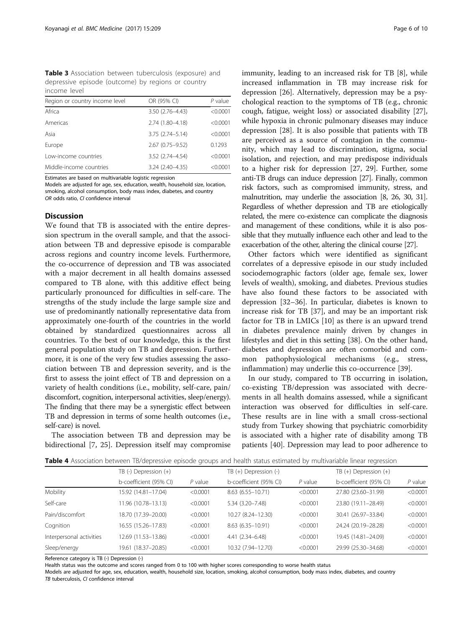<span id="page-5-0"></span>Table 3 Association between tuberculosis (exposure) and depressive episode (outcome) by regions or country income level

| Region or country income level | OR (95% CI)         | $P$ value |
|--------------------------------|---------------------|-----------|
| Africa                         | $3.50(2.76 - 4.43)$ | < 0.0001  |
| Americas                       | 2.74 (1.80-4.18)    | < 0.0001  |
| Asia                           | $3.75(2.74 - 5.14)$ | < 0.0001  |
| Europe                         | $2.67(0.75 - 9.52)$ | 0.1293    |
| Low-income countries           | 3.52 (2.74-4.54)    | < 0.0001  |
| Middle-income countries        | 3.24 (2.40-4.35)    | < 0.0001  |

Estimates are based on multivariable logistic regression

Models are adjusted for age, sex, education, wealth, household size, location, smoking, alcohol consumption, body mass index, diabetes, and country OR odds ratio, CI confidence interval

# **Discussion**

We found that TB is associated with the entire depression spectrum in the overall sample, and that the association between TB and depressive episode is comparable across regions and country income levels. Furthermore, the co-occurrence of depression and TB was associated with a major decrement in all health domains assessed compared to TB alone, with this additive effect being particularly pronounced for difficulties in self-care. The strengths of the study include the large sample size and use of predominantly nationally representative data from approximately one-fourth of the countries in the world obtained by standardized questionnaires across all countries. To the best of our knowledge, this is the first general population study on TB and depression. Furthermore, it is one of the very few studies assessing the association between TB and depression severity, and is the first to assess the joint effect of TB and depression on a variety of health conditions (i.e., mobility, self-care, pain/ discomfort, cognition, interpersonal activities, sleep/energy). The finding that there may be a synergistic effect between TB and depression in terms of some health outcomes (i.e., self-care) is novel.

The association between TB and depression may be bidirectional [\[7](#page-8-0), [25](#page-8-0)]. Depression itself may compromise immunity, leading to an increased risk for TB [\[8\]](#page-8-0), while increased inflammation in TB may increase risk for depression [\[26](#page-8-0)]. Alternatively, depression may be a psychological reaction to the symptoms of TB (e.g., chronic cough, fatigue, weight loss) or associated disability [\[27](#page-8-0)], while hypoxia in chronic pulmonary diseases may induce depression [\[28\]](#page-8-0). It is also possible that patients with TB are perceived as a source of contagion in the community, which may lead to discrimination, stigma, social isolation, and rejection, and may predispose individuals to a higher risk for depression [\[27, 29\]](#page-8-0). Further, some anti-TB drugs can induce depression [\[27\]](#page-8-0). Finally, common risk factors, such as compromised immunity, stress, and malnutrition, may underlie the association [\[8, 26](#page-8-0), [30, 31\]](#page-8-0). Regardless of whether depression and TB are etiologically related, the mere co-existence can complicate the diagnosis and management of these conditions, while it is also possible that they mutually influence each other and lead to the exacerbation of the other, altering the clinical course [\[27](#page-8-0)].

Other factors which were identified as significant correlates of a depressive episode in our study included sociodemographic factors (older age, female sex, lower levels of wealth), smoking, and diabetes. Previous studies have also found these factors to be associated with depression [[32](#page-8-0)–[36](#page-9-0)]. In particular, diabetes is known to increase risk for TB [[37](#page-9-0)], and may be an important risk factor for TB in LMICs [\[10\]](#page-8-0) as there is an upward trend in diabetes prevalence mainly driven by changes in lifestyles and diet in this setting [\[38\]](#page-9-0). On the other hand, diabetes and depression are often comorbid and common pathophysiological mechanisms (e.g., stress, inflammation) may underlie this co-occurrence [\[39](#page-9-0)].

In our study, compared to TB occurring in isolation, co-existing TB/depression was associated with decrements in all health domains assessed, while a significant interaction was observed for difficulties in self-care. These results are in line with a small cross-sectional study from Turkey showing that psychiatric comorbidity is associated with a higher rate of disability among TB patients [[40](#page-9-0)]. Depression may lead to poor adherence to

**Table 4** Association between TB/depressive episode groups and health status estimated by multivariable linear regression

|                          | TB (-) Depression (+)  |           | $TB (+)$ Depression $(-)$ |           |                        | $TB (+)$ Depression $(+)$ |  |
|--------------------------|------------------------|-----------|---------------------------|-----------|------------------------|---------------------------|--|
|                          | b-coefficient (95% CI) | $P$ value | b-coefficient (95% CI)    | $P$ value | b-coefficient (95% CI) | $P$ value                 |  |
| <b>Mobility</b>          | 15.92 (14.81-17.04)    | < 0.0001  | $8.63(6.55 - 10.71)$      | < 0.0001  | 27.80 (23.60-31.99)    | < 0.0001                  |  |
| Self-care                | 11.96 (10.78-13.13)    | < 0.0001  | 5.34 (3.20-7.48)          | < 0.0001  | 23.80 (19.11-28.49)    | < 0.0001                  |  |
| Pain/discomfort          | 18.70 (17.39–20.00)    | < 0.0001  | 10.27 (8.24-12.30)        | < 0.0001  | 30.41 (26.97-33.84)    | < 0.0001                  |  |
| Cognition                | 16.55 (15.26-17.83)    | < 0.0001  | 8.63 (6.35-10.91)         | < 0.0001  | 24.24 (20.19-28.28)    | < 0.0001                  |  |
| Interpersonal activities | 12.69 (11.53-13.86)    | < 0.0001  | 4.41 (2.34 - 6.48)        | < 0.0001  | 19.45 (14.81-24.09)    | < 0.0001                  |  |
| Sleep/energy             | 19.61 (18.37-20.85)    | < 0.0001  | 10.32 (7.94-12.70)        | < 0.0001  | 29.99 (25.30-34.68)    | < 0.0001                  |  |

Reference category is TB (-) Depression (-)

Health status was the outcome and scores ranged from 0 to 100 with higher scores corresponding to worse health status

Models are adjusted for age, sex, education, wealth, household size, location, smoking, alcohol consumption, body mass index, diabetes, and country TB tuberculosis, CI confidence interval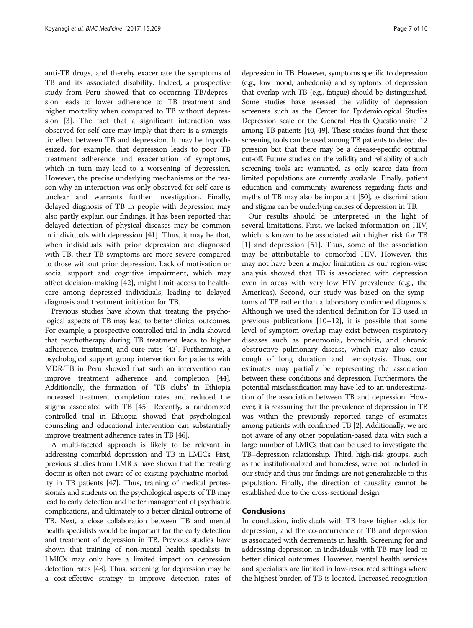anti-TB drugs, and thereby exacerbate the symptoms of TB and its associated disability. Indeed, a prospective study from Peru showed that co-occurring TB/depression leads to lower adherence to TB treatment and higher mortality when compared to TB without depression [\[3\]](#page-8-0). The fact that a significant interaction was observed for self-care may imply that there is a synergistic effect between TB and depression. It may be hypothesized, for example, that depression leads to poor TB treatment adherence and exacerbation of symptoms, which in turn may lead to a worsening of depression. However, the precise underlying mechanisms or the reason why an interaction was only observed for self-care is unclear and warrants further investigation. Finally, delayed diagnosis of TB in people with depression may also partly explain our findings. It has been reported that delayed detection of physical diseases may be common in individuals with depression [[41\]](#page-9-0). Thus, it may be that, when individuals with prior depression are diagnosed with TB, their TB symptoms are more severe compared to those without prior depression. Lack of motivation or social support and cognitive impairment, which may affect decision-making [\[42](#page-9-0)], might limit access to healthcare among depressed individuals, leading to delayed diagnosis and treatment initiation for TB.

Previous studies have shown that treating the psychological aspects of TB may lead to better clinical outcomes. For example, a prospective controlled trial in India showed that psychotherapy during TB treatment leads to higher adherence, treatment, and cure rates [\[43](#page-9-0)]. Furthermore, a psychological support group intervention for patients with MDR-TB in Peru showed that such an intervention can improve treatment adherence and completion [\[44](#page-9-0)]. Additionally, the formation of 'TB clubs' in Ethiopia increased treatment completion rates and reduced the stigma associated with TB [\[45\]](#page-9-0). Recently, a randomized controlled trial in Ethiopia showed that psychological counseling and educational intervention can substantially improve treatment adherence rates in TB [\[46\]](#page-9-0).

A multi-faceted approach is likely to be relevant in addressing comorbid depression and TB in LMICs. First, previous studies from LMICs have shown that the treating doctor is often not aware of co-existing psychiatric morbidity in TB patients [\[47](#page-9-0)]. Thus, training of medical professionals and students on the psychological aspects of TB may lead to early detection and better management of psychiatric complications, and ultimately to a better clinical outcome of TB. Next, a close collaboration between TB and mental health specialists would be important for the early detection and treatment of depression in TB. Previous studies have shown that training of non-mental health specialists in LMICs may only have a limited impact on depression detection rates [\[48\]](#page-9-0). Thus, screening for depression may be a cost-effective strategy to improve detection rates of

depression in TB. However, symptoms specific to depression (e.g., low mood, anhedonia) and symptoms of depression that overlap with TB (e.g., fatigue) should be distinguished. Some studies have assessed the validity of depression screeners such as the Center for Epidemiological Studies Depression scale or the General Health Questionnaire 12 among TB patients [\[40](#page-9-0), [49\]](#page-9-0). These studies found that these screening tools can be used among TB patients to detect depression but that there may be a disease-specific optimal cut-off. Future studies on the validity and reliability of such screening tools are warranted, as only scarce data from limited populations are currently available. Finally, patient education and community awareness regarding facts and myths of TB may also be important [\[50](#page-9-0)], as discrimination and stigma can be underlying causes of depression in TB.

Our results should be interpreted in the light of several limitations. First, we lacked information on HIV, which is known to be associated with higher risk for TB [[1\]](#page-8-0) and depression [[51\]](#page-9-0). Thus, some of the association may be attributable to comorbid HIV. However, this may not have been a major limitation as our region-wise analysis showed that TB is associated with depression even in areas with very low HIV prevalence (e.g., the Americas). Second, our study was based on the symptoms of TB rather than a laboratory confirmed diagnosis. Although we used the identical definition for TB used in previous publications [[10](#page-8-0)–[12](#page-8-0)], it is possible that some level of symptom overlap may exist between respiratory diseases such as pneumonia, bronchitis, and chronic obstructive pulmonary disease, which may also cause cough of long duration and hemoptysis. Thus, our estimates may partially be representing the association between these conditions and depression. Furthermore, the potential misclassification may have led to an underestimation of the association between TB and depression. However, it is reassuring that the prevalence of depression in TB was within the previously reported range of estimates among patients with confirmed TB [\[2\]](#page-8-0). Additionally, we are not aware of any other population-based data with such a large number of LMICs that can be used to investigate the TB–depression relationship. Third, high-risk groups, such as the institutionalized and homeless, were not included in our study and thus our findings are not generalizable to this population. Finally, the direction of causality cannot be established due to the cross-sectional design.

# Conclusions

In conclusion, individuals with TB have higher odds for depression, and the co-occurrence of TB and depression is associated with decrements in health. Screening for and addressing depression in individuals with TB may lead to better clinical outcomes. However, mental health services and specialists are limited in low-resourced settings where the highest burden of TB is located. Increased recognition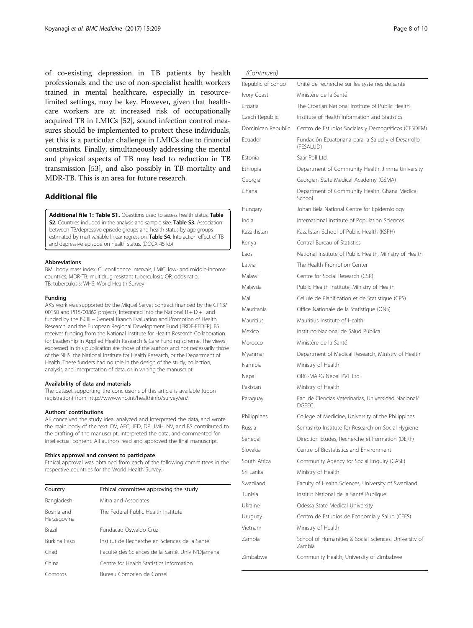<span id="page-7-0"></span>of co-existing depression in TB patients by health professionals and the use of non-specialist health workers trained in mental healthcare, especially in resourcelimited settings, may be key. However, given that healthcare workers are at increased risk of occupationally acquired TB in LMICs [[52](#page-9-0)], sound infection control measures should be implemented to protect these individuals, yet this is a particular challenge in LMICs due to financial constraints. Finally, simultaneously addressing the mental and physical aspects of TB may lead to reduction in TB transmission [[53](#page-9-0)], and also possibly in TB mortality and MDR-TB. This is an area for future research.

# Additional file

[Additional file 1: Table S1.](dx.doi.org/10.1186/s12916-017-0975-5) Questions used to assess health status. Table S2. Countries included in the analysis and sample size. Table S3. Association between TB/depressive episode groups and health status by age groups estimated by multivariable linear regression. Table S4. Interaction effect of TB and depressive episode on health status. (DOCX 45 kb)

#### Abbreviations

BMI: body mass index; CI: confidence intervals; LMIC: low- and middle-income countries; MDR-TB: multidrug resistant tuberculosis; OR: odds ratio; TB: tuberculosis; WHS: World Health Survey

#### Funding

AK's work was supported by the Miguel Servet contract financed by the CP13/ 00150 and PI15/00862 projects, integrated into the National  $R + D + I$  and funded by the ISCIII – General Branch Evaluation and Promotion of Health Research, and the European Regional Development Fund (ERDF-FEDER). BS receives funding from the National Institute for Health Research Collaboration for Leadership in Applied Health Research & Care Funding scheme. The views expressed in this publication are those of the authors and not necessarily those of the NHS, the National Institute for Health Research, or the Department of Health. These funders had no role in the design of the study, collection, analysis, and interpretation of data, or in writing the manuscript.

#### Availability of data and materials

The dataset supporting the conclusions of this article is available (upon registration) from<http://www.who.int/healthinfo/survey/en/>.

#### Authors' contributions

AK conceived the study idea, analyzed and interpreted the data, and wrote the main body of the text. DV, AFC, JED, DP, JMH, NV, and BS contributed to the drafting of the manuscript, interpreted the data, and commented for intellectual content. All authors read and approved the final manuscript.

# Ethics approval and consent to participate

Ethical approval was obtained from each of the following committees in the respective countries for the World Health Survey:

| Country                   | Ethical committee approving the study            |
|---------------------------|--------------------------------------------------|
| Bangladesh                | Mitra and Associates                             |
| Bosnia and<br>Herzegovina | The Federal Public Health Institute              |
| <b>Brazil</b>             | Eundacao Oswaldo Cruz                            |
| <b>Burkina Faso</b>       | Institut de Recherche en Sciences de la Santé    |
| Chad                      | Faculté des Sciences de la Santé, Univ N'Djamena |
| China                     | Centre for Health Statistics Information         |
| Comoros                   | Bureau Comorien de Conseil                       |

# (Continued)

| Republic of congo  | Unité de recherche sur les systèmes de santé                         |
|--------------------|----------------------------------------------------------------------|
| Ivory Coast        | Ministère de la Santé                                                |
| Croatia            | The Croatian National Institute of Public Health                     |
| Czech Republic     | Institute of Health Information and Statistics                       |
| Dominican Republic | Centro de Estudios Sociales y Demográficos (CESDEM)                  |
| Ecuador            | Fundación Ecuatoriana para la Salud y el Desarrollo<br>(FESALUD)     |
| Estonia            | Saar Poll Ltd.                                                       |
| Ethiopia           | Department of Community Health, Jimma University                     |
| Georgia            | Georgian State Medical Academy (GSMA)                                |
| Ghana              | Department of Community Health, Ghana Medical<br>School              |
| Hungary            | Johan Bela National Centre for Epidemiology                          |
| India              | International Institute of Population Sciences                       |
| Kazakhstan         | Kazakstan School of Public Health (KSPH)                             |
| Kenya              | Central Bureau of Statistics                                         |
| Laos               | National Institute of Public Health, Ministry of Health              |
| Latvia             | The Health Promotion Center                                          |
| Malawi             | Centre for Social Research (CSR)                                     |
| Malaysia           | Public Health Institute, Ministry of Health                          |
| Mali               | Cellule de Planification et de Statistique (CPS)                     |
| Mauritania         | Office Nationale de la Statistique (ONS)                             |
| Mauritius          | Mauritius Institute of Health                                        |
| Mexico             | Instituto Nacional de Salud Pública                                  |
| Morocco            | Ministère de la Santé                                                |
| Myanmar            | Department of Medical Research, Ministry of Health                   |
| Namibia            | Ministry of Health                                                   |
| Nepal              | ORG-MARG Nepal PVT Ltd.                                              |
| Pakistan           | Ministry of Health                                                   |
| Paraguay           | Fac. de Ciencias Veterinarias, Universidad Nacional/<br><b>DGFFC</b> |
| Philippines        | College of Medicine, University of the Philippines                   |
| Russia             | Semashko Institute for Research on Social Hygiene                    |
| Senegal            | Direction Etudes, Recherche et Formation (DERF)                      |
| Slovakia           | Centre of Biostatistics and Environment                              |
| South Africa       | Community Agency for Social Enguiry (CASE)                           |
| Sri Lanka          | Ministry of Health                                                   |
| Swaziland          | Faculty of Health Sciences, University of Swaziland                  |
| Tunisia            | Institut National de la Santé Publique                               |
| Ukraine            | Odessa State Medical University                                      |
| Uruguay            | Centro de Estudios de Economia y Salud (CEES)                        |
| Vietnam            | Ministry of Health                                                   |
| Zambia             | School of Humanities & Social Sciences, University of<br>Zambia      |
| Zimbabwe           | Community Health, University of Zimbabwe                             |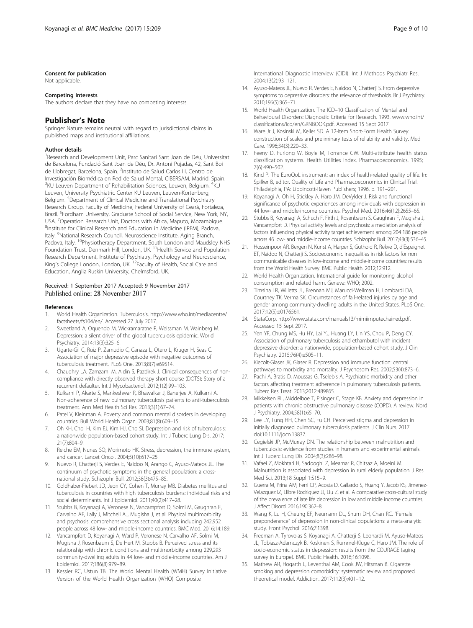#### <span id="page-8-0"></span>Consent for publication

Not applicable.

#### Competing interests

The authors declare that they have no competing interests.

#### Publisher's Note

Springer Nature remains neutral with regard to jurisdictional claims in published maps and institutional affiliations.

#### Author details

<sup>1</sup> Research and Development Unit, Parc Sanitari Sant Joan de Déu, Universitat de Barcelona, Fundació Sant Joan de Déu, Dr. Antoni Pujadas, 42, Sant Boi de Llobregat, Barcelona, Spain. <sup>2</sup>Instituto de Salud Carlos III, Centro de Investigación Biomédica en Red de Salud Mental, CIBERSAM, Madrid, Spain. <sup>3</sup>KU Leuven Department of Rehabilitation Sciences, Leuven, Belgium. <sup>4</sup>KU Leuven, University Psychiatric Center KU Leuven, Leuven-Kortenberg, Belgium. <sup>5</sup>Department of Clinical Medicine and Translational Psychiatry Research Group, Faculty of Medicine, Federal University of Ceará, Fortaleza, Brazil. <sup>6</sup>Fordham University, Graduate School of Social Service, New York, NY, USA. <sup>7</sup> Operation Research Unit, Doctors with Africa, Maputo, Mozambique.<br><sup>8</sup>instituto for Clinical Pesoarch and Education in Modicine (IPEM), Padova. <sup>8</sup>Institute for Clinical Research and Education in Medicine (IREM), Padova, Italy. <sup>9</sup>National Research Council, Neuroscience Institute, Aging Branch, Padova, Italy. <sup>10</sup>Physiotherapy Department, South London and Maudsley NHS Foundation Trust, Denmark Hill, London, UK.<sup>11</sup>Health Service and Population Research Department, Institute of Psychiatry, Psychology and Neuroscience, King's College London, London, UK. 12Faculty of Health, Social Care and Education, Anglia Ruskin University, Chelmsford, UK.

#### Received: 1 September 2017 Accepted: 9 November 2017 Published online: 28 November 2017

#### References

- 1. World Health Organization. Tuberculosis. [http://www.who.int/mediacentre/](http://www.who.int/mediacentre/factsheets/fs104/en/) [factsheets/fs104/en/](http://www.who.int/mediacentre/factsheets/fs104/en/). Accessed 27 July 2017.
- 2. Sweetland A, Oquendo M, Wickramaratne P, Weissman M, Wainberg M. Depression: a silent driver of the global tuberculosis epidemic. World Psychiatry. 2014;13(3):325–6.
- 3. Ugarte-Gil C, Ruiz P, Zamudio C, Canaza L, Otero L, Kruger H, Seas C. Association of major depressive episode with negative outcomes of tuberculosis treatment. PLoS One. 2013;8(7):e69514.
- 4. Chaudhry LA, Zamzami M, Aldin S, Pazdirek J. Clinical consequences of noncompliance with directly observed therapy short course (DOTS): Story of a recurrent defaulter. Int J Mycobacteriol. 2012;1(2):99–103.
- 5. Kulkarni P, Akarte S, Mankeshwar R, Bhawalkar J, Banerjee A, Kulkarni A. Non-adherence of new pulmonary tuberculosis patients to anti-tuberculosis treatment. Ann Med Health Sci Res. 2013;3(1):67–74.
- Patel V, Kleinman A. Poverty and common mental disorders in developing countries. Bull World Health Organ. 2003;81(8):609–15.
- 7. Oh KH, Choi H, Kim EJ, Kim HJ, Cho SI. Depression and risk of tuberculosis: a nationwide population-based cohort study. Int J Tuberc Lung Dis. 2017; 21(7):804–9.
- Reiche EM, Nunes SO, Morimoto HK. Stress, depression, the immune system, and cancer. Lancet Oncol. 2004;5(10):617–25.
- 9. Nuevo R, Chatterji S, Verdes E, Naidoo N, Arango C, Ayuso-Mateos JL. The continuum of psychotic symptoms in the general population: a crossnational study. Schizophr Bull. 2012;38(3):475–85.
- 10. Goldhaber-Fiebert JD, Jeon CY, Cohen T, Murray MB. Diabetes mellitus and tuberculosis in countries with high tuberculosis burdens: individual risks and social determinants. Int J Epidemiol. 2011;40(2):417–28.
- 11. Stubbs B, Koyanagi A, Veronese N, Vancampfort D, Solmi M, Gaughran F, Carvalho AF, Lally J, Mitchell AJ, Mugisha J, et al. Physical multimorbidity and psychosis: comprehensive cross sectional analysis including 242,952 people across 48 low- and middle-income countries. BMC Med. 2016;14:189.
- 12. Vancampfort D, Koyanagi A, Ward P, Veronese N, Carvalho AF, Solmi M, Mugisha J, Rosenbaum S, De Hert M, Stubbs B. Perceived stress and its relationship with chronic conditions and multimorbidity among 229,293 community-dwelling adults in 44 low- and middle-income countries. Am J Epidemiol. 2017;186(8):979–89.
- 13. Kessler RC, Ustun TB. The World Mental Health (WMH) Survey Initiative Version of the World Health Organization (WHO) Composite

International Diagnostic Interview (CIDI). Int J Methods Psychiatr Res. 2004;13(2):93–121.

- 14. Ayuso-Mateos JL, Nuevo R, Verdes E, Naidoo N, Chatterji S. From depressive symptoms to depressive disorders: the relevance of thresholds. Br J Psychiatry. 2010;196(5):365–71.
- 15. World Health Organization. The ICD–10 Classification of Mental and Behavioural Disorders: Diagnostic Criteria for Research. 1993. [www.who.int/](http://www.who.int/classifications/icd/en/GRNBOOK.pdf) [classifications/icd/en/GRNBOOK.pdf](http://www.who.int/classifications/icd/en/GRNBOOK.pdf). Accessed 15 Sept 2017.
- 16. Ware Jr J, Kosinski M, Keller SD. A 12-Item Short-Form Health Survey: construction of scales and preliminary tests of reliability and validity. Med Care. 1996;34(3):220–33.
- 17. Feeny D, Furlong W, Boyle M, Torrance GW. Multi-attribute health status classification systems. Health Utilities Index. Pharmacoeconomics. 1995; 7(6):490–502.
- 18. Kind P. The EuroQoL instrument: an index of health-related quality of life. In: Spilker B, editor. Quality of Life and Pharmacoeconomics in Clinical Trial. Philadelphia, PA: Lippincott-Raven Publishers; 1996. p. 191–201.
- 19. Koyanagi A, Oh H, Stickley A, Haro JM, DeVylder J. Risk and functional significance of psychotic experiences among individuals with depression in 44 low- and middle-income countries. Psychol Med. 2016;46(12):2655–65.
- 20. Stubbs B, Koyanagi A, Schuch F, Firth J, Rosenbaum S, Gaughran F, Mugisha J, Vancampfort D. Physical activity levels and psychosis: a mediation analysis of factors influencing physical activity target achievement among 204 186 people across 46 low- and middle-income countries. Schizophr Bull. 2017;43(3):536–45.
- 21. Hosseinpoor AR, Bergen N, Kunst A, Harper S, Guthold R, Rekve D, d'Espaignet ET, Naidoo N, Chatterji S. Socioeconomic inequalities in risk factors for non communicable diseases in low-income and middle-income countries: results from the World Health Survey. BMC Public Health. 2012;12:912.
- 22. World Health Organization. International guide for monitoring alcohol consumption and related harm. Geneva: WHO; 2002.
- 23. Timsina LR, Willetts JL, Brennan MJ, Marucci-Wellman H, Lombardi DA, Courtney TK, Verma SK. Circumstances of fall-related injuries by age and gender among community-dwelling adults in the United States. PLoS One. 2017;12(5):e0176561.
- 24. StataCorp.<http://www.stata.com/manuals13/mimiimputechained.pdf>. Accessed 15 Sept 2017.
- 25. Yen YF, Chung MS, Hu HY, Lai YJ, Huang LY, Lin YS, Chou P, Deng CY. Association of pulmonary tuberculosis and ethambutol with incident depressive disorder: a nationwide, population-based cohort study. J Clin Psychiatry. 2015;76(4):e505–11.
- 26. Kiecolt-Glaser JK, Glaser R. Depression and immune function: central pathways to morbidity and mortality. J Psychosom Res. 2002;53(4):873–6.
- 27. Pachi A, Bratis D, Moussas G, Tselebis A. Psychiatric morbidity and other factors affecting treatment adherence in pulmonary tuberculosis patients. Tuberc Res Treat. 2013;2012:489865.
- 28. Mikkelsen RL, Middelboe T, Pisinger C, Stage KB. Anxiety and depression in patients with chronic obstructive pulmonary disease (COPD). A review. Nord J Psychiatry. 2004;58(1):65–70.
- 29. Lee LY, Tung HH, Chen SC, Fu CH. Perceived stigma and depression in initially diagnosed pulmonary tuberculosis patients. J Clin Nurs. 2017. doi[:10.1111/jocn.13837.](http://dx.doi.org/10.1111/jocn.13837)
- 30. Cegielski JP, McMurray DN. The relationship between malnutrition and tuberculosis: evidence from studies in humans and experimental animals. Int J Tuberc Lung Dis. 2004;8(3):286–98.
- 31. Vafaei Z, Mokhtari H, Sadooghi Z, Meamar R, Chitsaz A, Moeini M. Malnutrition is associated with depression in rural elderly population. J Res Med Sci. 2013;18 Suppl 1:S15–9.
- 32. Guerra M, Prina AM, Ferri CP, Acosta D, Gallardo S, Huang Y, Jacob KS, Jimenez-Velazquez IZ, Llibre Rodriguez JJ, Liu Z, et al. A comparative cross-cultural study of the prevalence of late life depression in low and middle income countries. J Affect Disord. 2016;190:362–8.
- 33. Wang K, Lu H, Cheung EF, Neumann DL, Shum DH, Chan RC. "Female preponderance" of depression in non-clinical populations: a meta-analytic study. Front Psychol. 2016;7:1398.
- 34. Freeman A, Tyrovolas S, Koyanagi A, Chatterji S, Leonardi M, Ayuso-Mateos JL, Tobiasz-Adamczyk B, Koskinen S, Rummel-Kluge C, Haro JM. The role of socio-economic status in depression: results from the COURAGE (aging survey in Europe). BMC Public Health. 2016;16:1098.
- 35. Mathew AR, Hogarth L, Leventhal AM, Cook JW, Hitsman B. Cigarette smoking and depression comorbidity: systematic review and proposed theoretical model. Addiction. 2017;112(3):401–12.